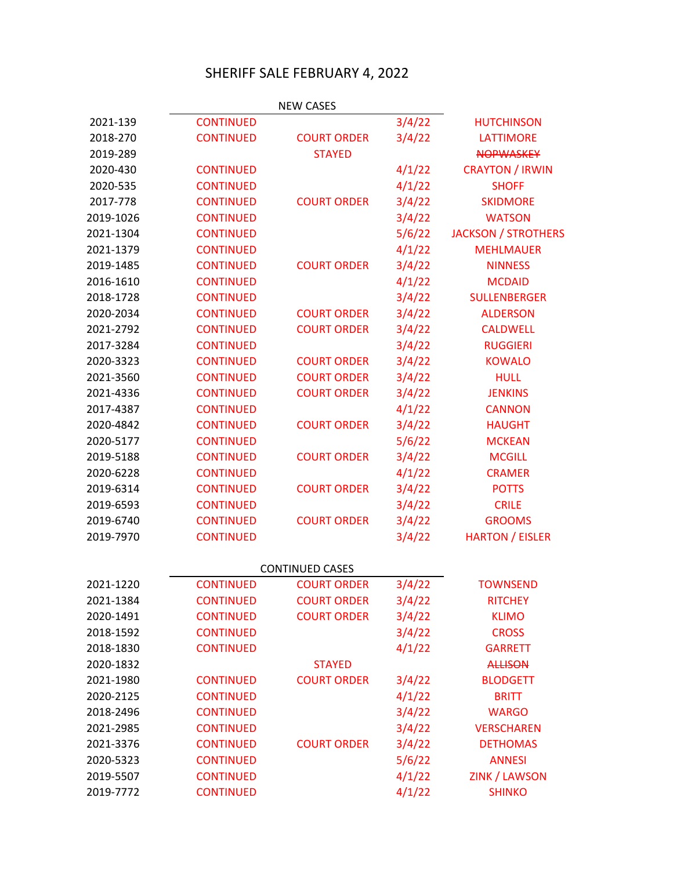## SHERIFF SALE FEBRUARY 4, 2022

|           |                  | <b>NEW CASES</b>       |        |                            |
|-----------|------------------|------------------------|--------|----------------------------|
| 2021-139  | <b>CONTINUED</b> |                        | 3/4/22 | <b>HUTCHINSON</b>          |
| 2018-270  | <b>CONTINUED</b> | <b>COURT ORDER</b>     | 3/4/22 | <b>LATTIMORE</b>           |
| 2019-289  |                  | <b>STAYED</b>          |        | <b>NOPWASKEY</b>           |
| 2020-430  | <b>CONTINUED</b> |                        | 4/1/22 | <b>CRAYTON / IRWIN</b>     |
| 2020-535  | <b>CONTINUED</b> |                        | 4/1/22 | <b>SHOFF</b>               |
| 2017-778  | <b>CONTINUED</b> | <b>COURT ORDER</b>     | 3/4/22 | <b>SKIDMORE</b>            |
| 2019-1026 | <b>CONTINUED</b> |                        | 3/4/22 | <b>WATSON</b>              |
| 2021-1304 | <b>CONTINUED</b> |                        | 5/6/22 | <b>JACKSON / STROTHERS</b> |
| 2021-1379 | <b>CONTINUED</b> |                        | 4/1/22 | <b>MEHLMAUER</b>           |
| 2019-1485 | <b>CONTINUED</b> | <b>COURT ORDER</b>     | 3/4/22 | <b>NINNESS</b>             |
| 2016-1610 | <b>CONTINUED</b> |                        | 4/1/22 | <b>MCDAID</b>              |
| 2018-1728 | <b>CONTINUED</b> |                        | 3/4/22 | <b>SULLENBERGER</b>        |
| 2020-2034 | <b>CONTINUED</b> | <b>COURT ORDER</b>     | 3/4/22 | <b>ALDERSON</b>            |
| 2021-2792 | <b>CONTINUED</b> | <b>COURT ORDER</b>     | 3/4/22 | <b>CALDWELL</b>            |
| 2017-3284 | <b>CONTINUED</b> |                        | 3/4/22 | <b>RUGGIERI</b>            |
| 2020-3323 | <b>CONTINUED</b> | <b>COURT ORDER</b>     | 3/4/22 | <b>KOWALO</b>              |
| 2021-3560 | <b>CONTINUED</b> | <b>COURT ORDER</b>     | 3/4/22 | <b>HULL</b>                |
| 2021-4336 | <b>CONTINUED</b> | <b>COURT ORDER</b>     | 3/4/22 | <b>JENKINS</b>             |
| 2017-4387 | <b>CONTINUED</b> |                        | 4/1/22 | <b>CANNON</b>              |
| 2020-4842 | <b>CONTINUED</b> | <b>COURT ORDER</b>     | 3/4/22 | <b>HAUGHT</b>              |
| 2020-5177 | <b>CONTINUED</b> |                        | 5/6/22 | <b>MCKEAN</b>              |
| 2019-5188 | <b>CONTINUED</b> | <b>COURT ORDER</b>     | 3/4/22 | <b>MCGILL</b>              |
| 2020-6228 | <b>CONTINUED</b> |                        | 4/1/22 | <b>CRAMER</b>              |
| 2019-6314 | <b>CONTINUED</b> | <b>COURT ORDER</b>     | 3/4/22 | <b>POTTS</b>               |
| 2019-6593 | <b>CONTINUED</b> |                        | 3/4/22 | <b>CRILE</b>               |
| 2019-6740 | <b>CONTINUED</b> | <b>COURT ORDER</b>     | 3/4/22 | <b>GROOMS</b>              |
| 2019-7970 | <b>CONTINUED</b> |                        | 3/4/22 | <b>HARTON / EISLER</b>     |
|           |                  | <b>CONTINUED CASES</b> |        |                            |
| 2021-1220 | <b>CONTINUED</b> | <b>COURT ORDER</b>     | 3/4/22 | <b>TOWNSEND</b>            |
| 2021-1384 | <b>CONTINUED</b> | <b>COURT ORDER</b>     | 3/4/22 | <b>RITCHEY</b>             |
| 2020-1491 | <b>CONTINUED</b> | <b>COURT ORDER</b>     | 3/4/22 | <b>KLIMO</b>               |
| 2018-1592 | <b>CONTINUED</b> |                        | 3/4/22 | <b>CROSS</b>               |
| 2018-1830 | <b>CONTINUED</b> |                        | 4/1/22 | <b>GARRETT</b>             |
| 2020-1832 |                  | <b>STAYED</b>          |        | <b>ALLISON</b>             |
| 2021-1980 | <b>CONTINUED</b> | <b>COURT ORDER</b>     | 3/4/22 | <b>BLODGETT</b>            |
| 2020-2125 | <b>CONTINUED</b> |                        | 4/1/22 | <b>BRITT</b>               |
| 2018-2496 | <b>CONTINUED</b> |                        | 3/4/22 | <b>WARGO</b>               |
| 2021-2985 | <b>CONTINUED</b> |                        | 3/4/22 | <b>VERSCHAREN</b>          |
| 2021-3376 | <b>CONTINUED</b> | <b>COURT ORDER</b>     | 3/4/22 | <b>DETHOMAS</b>            |
| 2020-5323 | <b>CONTINUED</b> |                        | 5/6/22 | <b>ANNESI</b>              |
| 2019-5507 | <b>CONTINUED</b> |                        | 4/1/22 | <b>ZINK / LAWSON</b>       |
| 2019-7772 | <b>CONTINUED</b> |                        | 4/1/22 | <b>SHINKO</b>              |